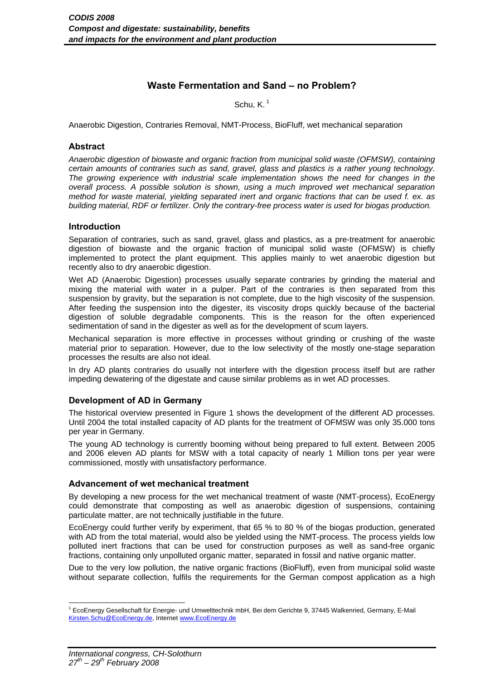# **Waste Fermentation and Sand – no Problem?**

Schu, K. 1

Anaerobic Digestion, Contraries Removal, NMT-Process, BioFluff, wet mechanical separation

#### **Abstract**

*Anaerobic digestion of biowaste and organic fraction from municipal solid waste (OFMSW), containing certain amounts of contraries such as sand, gravel, glass and plastics is a rather young technology. The growing experience with industrial scale implementation shows the need for changes in the overall process. A possible solution is shown, using a much improved wet mechanical separation method for waste material, yielding separated inert and organic fractions that can be used f. ex. as building material, RDF or fertilizer. Only the contrary-free process water is used for biogas production.* 

## **Introduction**

Separation of contraries, such as sand, gravel, glass and plastics, as a pre-treatment for anaerobic digestion of biowaste and the organic fraction of municipal solid waste (OFMSW) is chiefly implemented to protect the plant equipment. This applies mainly to wet anaerobic digestion but recently also to dry anaerobic digestion.

Wet AD (Anaerobic Digestion) processes usually separate contraries by grinding the material and mixing the material with water in a pulper. Part of the contraries is then separated from this suspension by gravity, but the separation is not complete, due to the high viscosity of the suspension. After feeding the suspension into the digester, its viscosity drops quickly because of the bacterial digestion of soluble degradable components. This is the reason for the often experienced sedimentation of sand in the digester as well as for the development of scum layers.

Mechanical separation is more effective in processes without grinding or crushing of the waste material prior to separation. However, due to the low selectivity of the mostly one-stage separation processes the results are also not ideal.

In dry AD plants contraries do usually not interfere with the digestion process itself but are rather impeding dewatering of the digestate and cause similar problems as in wet AD processes.

#### **Development of AD in Germany**

The historical overview presented in Figure 1 shows the development of the different AD processes. Until 2004 the total installed capacity of AD plants for the treatment of OFMSW was only 35.000 tons per year in Germany.

The young AD technology is currently booming without being prepared to full extent. Between 2005 and 2006 eleven AD plants for MSW with a total capacity of nearly 1 Million tons per year were commissioned, mostly with unsatisfactory performance.

#### **Advancement of wet mechanical treatment**

By developing a new process for the wet mechanical treatment of waste (NMT-process), EcoEnergy could demonstrate that composting as well as anaerobic digestion of suspensions, containing particulate matter, are not technically justifiable in the future.

EcoEnergy could further verify by experiment, that 65 % to 80 % of the biogas production, generated with AD from the total material, would also be yielded using the NMT-process. The process yields low polluted inert fractions that can be used for construction purposes as well as sand-free organic fractions, containing only unpolluted organic matter, separated in fossil and native organic matter.

Due to the very low pollution, the native organic fractions (BioFluff), even from municipal solid waste without separate collection, fulfils the requirements for the German compost application as a high

1

<sup>1</sup> EcoEnergy Gesellschaft für Energie- und Umwelttechnik mbH, Bei dem Gerichte 9, 37445 Walkenried, Germany, E-Mail Kirsten.Schu@EcoEnergy.de, Internet www.EcoEnergy.de